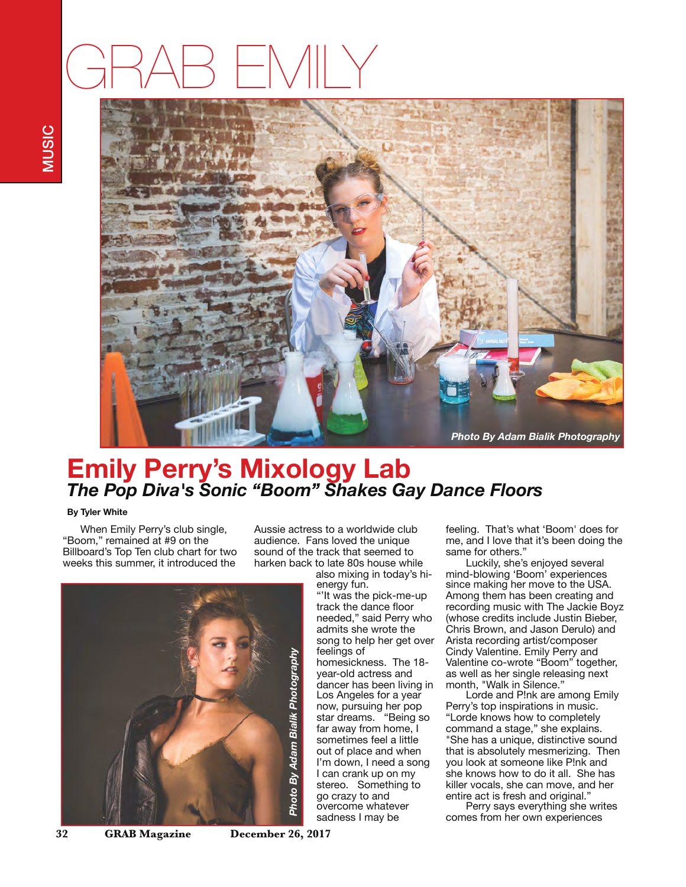## GRAB EMILY



## **Emily Perry's Mixology Lab** *The Pop Diva's Sonic "Boom" Shakes Gay Dance Floors*

## **By Tyler White**

 When Emily Perry's club single, "Boom," remained at #9 on the Billboard's Top Ten club chart for two weeks this summer, it introduced the

Aussie actress to a worldwide club audience. Fans loved the unique sound of the track that seemed to harken back to late 80s house while

also mixing in today's hi-

energy fun. "'It was the pick-me-up track the dance floor needed," said Perry who admits she wrote the song to help her get over feelings of homesickness. The 18 year-old actress and dancer has been living in Los Angeles for a year now, pursuing her pop star dreams. "Being so far away from home, I sometimes feel a little out of place and when I'm down, I need a song I can crank up on my stereo. Something to go crazy to and overcome whatever sadness I may be

feeling. That's what 'Boom' does for me, and I love that it's been doing the same for others."

Luckily, she's enjoyed several mind-blowing 'Boom' experiences since making her move to the USA. Among them has been creating and recording music with The Jackie Boyz (whose credits include Justin Bieber, Chris Brown, and Jason Derulo) and Arista recording artist/composer Cindy Valentine. Emily Perry and Valentine co-wrote "Boom" together, as well as her single releasing next month, "Walk in Silence."

Lorde and P!nk are among Emily Perry's top inspirations in music. "Lorde knows how to completely command a stage," she explains. "She has a unique, distinctive sound that is absolutely mesmerizing. Then you look at someone like P!nk and she knows how to do it all. She has killer vocals, she can move, and her entire act is fresh and original."

Perry says everything she writes comes from her own experiences



**32 GRAB Magazine December 26, 2017**